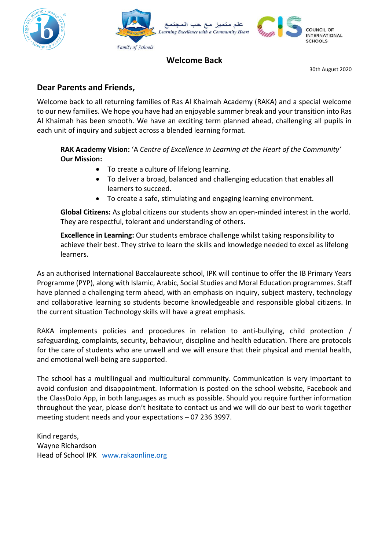



## **Welcome Back**

30th August 2020

## **Dear Parents and Friends,**

Welcome back to all returning families of Ras Al Khaimah Academy (RAKA) and a special welcome to our new families. We hope you have had an enjoyable summer break and your transition into Ras Al Khaimah has been smooth. We have an exciting term planned ahead, challenging all pupils in each unit of inquiry and subject across a blended learning format.

**RAK Academy Vision:** 'A *Centre of Excellence in Learning at the Heart of the Community'* **Our Mission:** 

- To create a culture of lifelong learning.
- To deliver a broad, balanced and challenging education that enables all learners to succeed.
- To create a safe, stimulating and engaging learning environment.

**Global Citizens:** As global citizens our students show an open-minded interest in the world. They are respectful, tolerant and understanding of others.

**Excellence in Learning:** Our students embrace challenge whilst taking responsibility to achieve their best. They strive to learn the skills and knowledge needed to excel as lifelong learners.

As an authorised International Baccalaureate school, IPK will continue to offer the IB Primary Years Programme (PYP), along with Islamic, Arabic, Social Studies and Moral Education programmes. Staff have planned a challenging term ahead, with an emphasis on inquiry, subject mastery, technology and collaborative learning so students become knowledgeable and responsible global citizens. In the current situation Technology skills will have a great emphasis.

RAKA implements policies and procedures in relation to anti-bullying, child protection / safeguarding, complaints, security, behaviour, discipline and health education. There are protocols for the care of students who are unwell and we will ensure that their physical and mental health, and emotional well-being are supported.

The school has a multilingual and multicultural community. Communication is very important to avoid confusion and disappointment. Information is posted on the school website, Facebook and the ClassDoJo App, in both languages as much as possible. Should you require further information throughout the year, please don't hesitate to contact us and we will do our best to work together meeting student needs and your expectations – 07 236 3997.

Kind regards, Wayne Richardson Head of School IPK [www.rakaonline.org](http://www.rakaonline.org/)